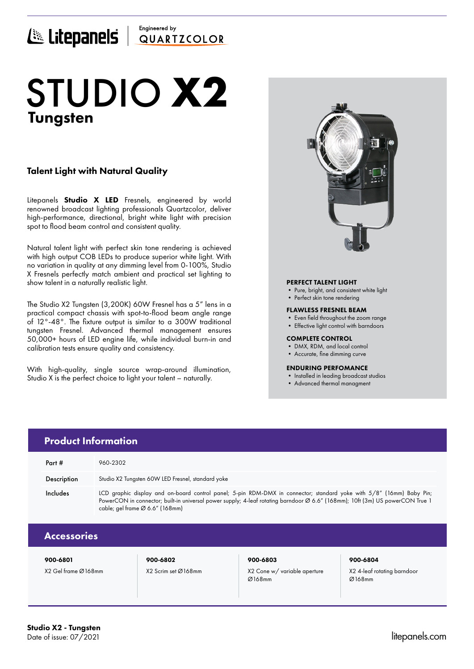# Engineered by E Litepanels QUARTICOLOR

# Tungsten STUDIO **X2**

## Talent Light with Natural Quality

Litepanels **Studio X LED** Fresnels, engineered by world renowned broadcast lighting professionals Quartzcolor, deliver high-performance, directional, bright white light with precision spot to flood beam control and consistent quality.

Natural talent light with perfect skin tone rendering is achieved with high output COB LEDs to produce superior white light. With no variation in quality at any dimming level from 0-100%, Studio X Fresnels perfectly match ambient and practical set lighting to show talent in a naturally realistic light.

The Studio X2 Tungsten (3,200K) 60W Fresnel has a 5" lens in a practical compact chassis with spot-to-flood beam angle range of 12°-48°. The fixture output is similar to a 300W traditional tungsten Fresnel. Advanced thermal management ensures 50,000+ hours of LED engine life, while individual burn-in and calibration tests ensure quality and consistency.

With high-quality, single source wrap-around illumination, Studio X is the perfect choice to light your talent – naturally.



### PERFECT TALENT LIGHT

- Pure, bright, and consistent white light
- Perfect skin tone rendering

#### FLAWLESS FRESNEL BEAM

- Even field throughout the zoom range
- Effective light control with barndoors

#### COMPLETE CONTROL

- DMX, RDM, and local control
- Accurate, fine dimming curve

### ENDURING PERFOMANCE

• Installed in leading broadcast studios

Ø168mm

• Advanced thermal managment

| <b>Product Information</b> |                                                                                                                                                                                                                                                                                          |                     |                              |                             |  |  |  |
|----------------------------|------------------------------------------------------------------------------------------------------------------------------------------------------------------------------------------------------------------------------------------------------------------------------------------|---------------------|------------------------------|-----------------------------|--|--|--|
| Part #                     | 960-2302                                                                                                                                                                                                                                                                                 |                     |                              |                             |  |  |  |
| Description                | Studio X2 Tungsten 60W LED Fresnel, standard yoke                                                                                                                                                                                                                                        |                     |                              |                             |  |  |  |
| Includes                   | LCD graphic display and on-board control panel; 5-pin RDM-DMX in connector; standard yoke with 5/8" (16mm) Baby Pin;<br>PowerCON in connector; built-in universal power supply; 4-leaf rotating barndoor Ø 6.6" (168mm); 10ft (3m) US powerCON True 1<br>cable; gel frame Ø 6.6" (168mm) |                     |                              |                             |  |  |  |
| <b>Accessories</b>         |                                                                                                                                                                                                                                                                                          |                     |                              |                             |  |  |  |
| 900-6801                   |                                                                                                                                                                                                                                                                                          | 900-6802            | 900-6803                     | 900-6804                    |  |  |  |
| X2 Gel frame Ø168mm        |                                                                                                                                                                                                                                                                                          | X2 Scrim set Ø168mm | X2 Cone w/ variable aperture | X2 4-leaf rotating barndoor |  |  |  |

Ø168mm